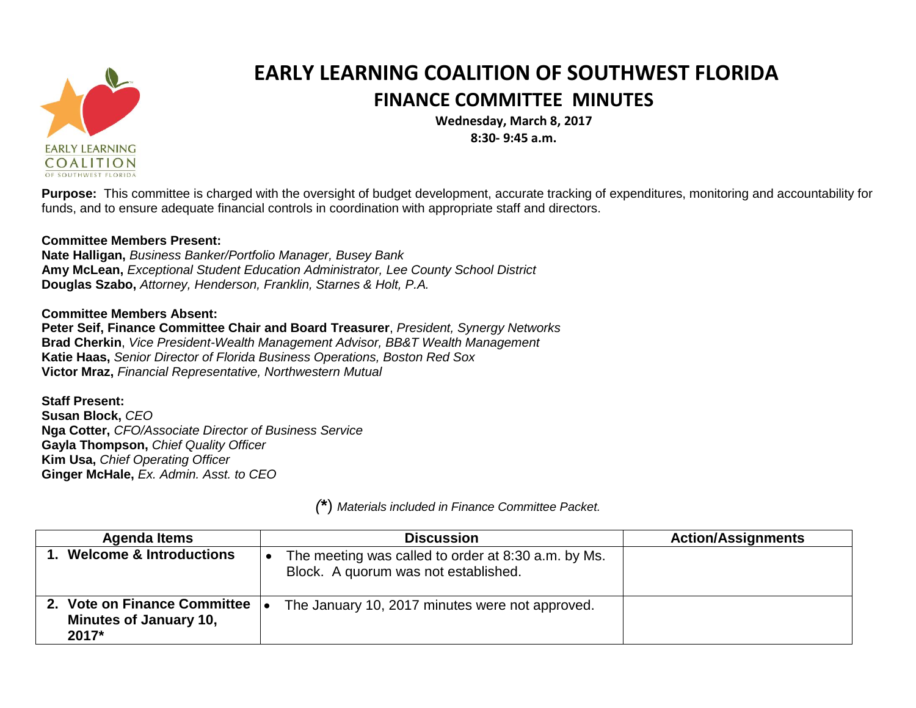

## **EARLY LEARNING COALITION OF SOUTHWEST FLORIDA FINANCE COMMITTEE MINUTES**

**Wednesday, March 8, 2017 8:30- 9:45 a.m.** 

**Purpose:** This committee is charged with the oversight of budget development, accurate tracking of expenditures, monitoring and accountability for funds, and to ensure adequate financial controls in coordination with appropriate staff and directors.

## **Committee Members Present:**

**Nate Halligan,** *Business Banker/Portfolio Manager, Busey Bank* **Amy McLean,** *Exceptional Student Education Administrator, Lee County School District*  **Douglas Szabo,** *Attorney, Henderson, Franklin, Starnes & Holt, P.A.* 

## **Committee Members Absent:**

**Peter Seif, Finance Committee Chair and Board Treasurer**, *President, Synergy Networks*  **Brad Cherkin**, *Vice President-Wealth Management Advisor, BB&T Wealth Management* **Katie Haas,** *Senior Director of Florida Business Operations, Boston Red Sox* **Victor Mraz,** *Financial Representative, Northwestern Mutual*

## **Staff Present:**

**Susan Block,** *CEO* **Nga Cotter,** *CFO/Associate Director of Business Service*  **Gayla Thompson,** *Chief Quality Officer*  **Kim Usa,** *Chief Operating Officer*  **Ginger McHale,** *Ex. Admin. Asst. to CEO*

| <b>Agenda Items</b>                                                    | <b>Discussion</b>                                                                           | <b>Action/Assignments</b> |
|------------------------------------------------------------------------|---------------------------------------------------------------------------------------------|---------------------------|
| 1. Welcome & Introductions                                             | The meeting was called to order at 8:30 a.m. by Ms.<br>Block. A quorum was not established. |                           |
| 2. Vote on Finance Committee<br><b>Minutes of January 10,</b><br>2017* | The January 10, 2017 minutes were not approved.                                             |                           |

*(***\***) *Materials included in Finance Committee Packet.*